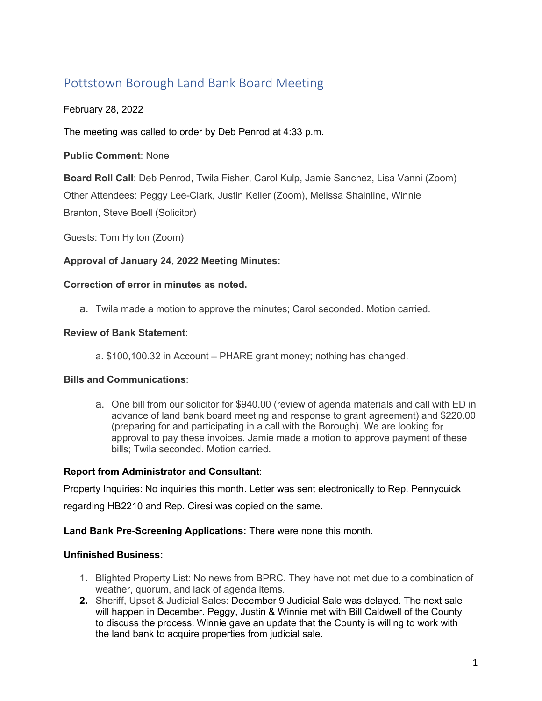# Pottstown Borough Land Bank Board Meeting

February 28, 2022

The meeting was called to order by Deb Penrod at 4:33 p.m.

**Public Comment**: None

**Board Roll Call**: Deb Penrod, Twila Fisher, Carol Kulp, Jamie Sanchez, Lisa Vanni (Zoom) Other Attendees: Peggy Lee-Clark, Justin Keller (Zoom), Melissa Shainline, Winnie Branton, Steve Boell (Solicitor)

Guests: Tom Hylton (Zoom)

## **Approval of January 24, 2022 Meeting Minutes:**

## **Correction of error in minutes as noted.**

a. Twila made a motion to approve the minutes; Carol seconded. Motion carried.

#### **Review of Bank Statement**:

a. \$100,100.32 in Account – PHARE grant money; nothing has changed.

## **Bills and Communications**:

a. One bill from our solicitor for \$940.00 (review of agenda materials and call with ED in advance of land bank board meeting and response to grant agreement) and \$220.00 (preparing for and participating in a call with the Borough). We are looking for approval to pay these invoices. Jamie made a motion to approve payment of these bills; Twila seconded. Motion carried.

## **Report from Administrator and Consultant**:

Property Inquiries: No inquiries this month. Letter was sent electronically to Rep. Pennycuick regarding HB2210 and Rep. Ciresi was copied on the same.

## **Land Bank Pre-Screening Applications:** There were none this month.

## **Unfinished Business:**

- 1. Blighted Property List: No news from BPRC. They have not met due to a combination of weather, quorum, and lack of agenda items.
- **2.** Sheriff, Upset & Judicial Sales: December 9 Judicial Sale was delayed. The next sale will happen in December. Peggy, Justin & Winnie met with Bill Caldwell of the County to discuss the process. Winnie gave an update that the County is willing to work with the land bank to acquire properties from judicial sale.